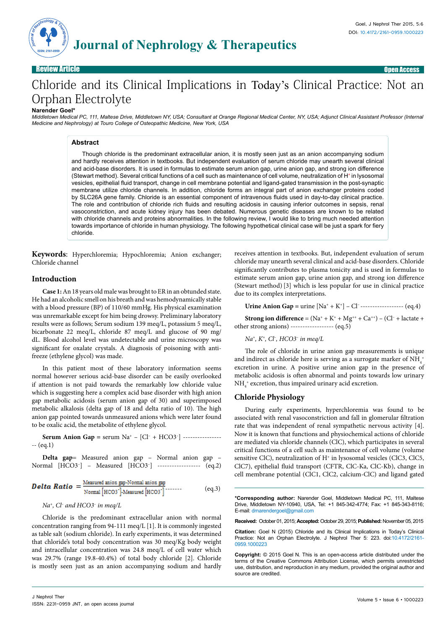

Review Article Open Access

# Chloride and its Clinical Implications in Today's Clinical Practice: Not an Orphan Electrolyte

**Journal of Nephrology & Therapeutics** 

#### **Narender Goel\***

*Middletown Medical PC, 111, Maltese Drive, Middletown NY, USA; Consultant at Orange Regional Medical Center, NY, USA; Adjunct Clinical Assistant Professor (Internal Medicine and Nephrology) at Touro College of Osteopathic Medicine, New York, USA*

## **Abstract**

Though chloride is the predominant extracellular anion, it is mostly seen just as an anion accompanying sodium and hardly receives attention in textbooks. But independent evaluation of serum chloride may unearth several clinical and acid-base disorders. It is used in formulas to estimate serum anion gap, urine anion gap, and strong ion difference (Stewart method). Several critical functions of a cell such as maintenance of cell volume, neutralization of H+ in lysosomal vesicles, epithelial fluid transport, change in cell membrane potential and ligand-gated transmission in the post-synaptic membrane utilize chloride channels. In addition, chloride forms an integral part of anion exchanger proteins coded by SLC26A gene family. Chloride is an essential component of intravenous fluids used in day-to-day clinical practice. The role and contribution of chloride rich fluids and resulting acidosis in causing inferior outcomes in sepsis, renal vasoconstriction, and acute kidney injury has been debated. Numerous genetic diseases are known to be related with chloride channels and proteins abnormalities. In the following review, I would like to bring much needed attention towards importance of chloride in human physiology. The following hypothetical clinical case will be just a spark for fiery chloride.

**Keywords**: Hyperchloremia; Hypochloremia; Anion exchanger; Chloride channel

#### **Introduction**

**Case 1:** An 18 years old male was brought to ER in an obtunded state. He had an alcoholic smell on his breath and was hemodynamically stable with a blood pressure (BP) of 110/60 mmHg. His physical examination was unremarkable except for him being drowsy. Preliminary laboratory results were as follows; Serum sodium 139 meq/L, potassium 5 meq/L, bicarbonate 22 meq/L, chloride 87 meq/L and glucose of 90 mg/ dL. Blood alcohol level was undetectable and urine microscopy was significant for oxalate crystals. A diagnosis of poisoning with antifreeze (ethylene glycol) was made.

In this patient most of these laboratory information seems normal however serious acid-base disorder can be easily overlooked if attention is not paid towards the remarkably low chloride value which is suggesting here a complex acid base disorder with high anion gap metabolic acidosis (serum anion gap of 30) and superimposed metabolic alkalosis (delta gap of 18 and delta ratio of 10). The high anion gap pointed towards unmeasured anions which were later found to be oxalic acid, the metabolite of ethylene glycol.

**Serum Anion Gap** = serum Na<sup>+</sup> – [Cl<sup>-</sup> + HCO3<sup>-</sup>] ----------------- $-(eq.1)$ 

**Delta gap**= Measured anion gap – Normal anion gap – Normal [HCO3– ] – Measured [HCO3– ] ------------------ (eq.2)

**Delta Ratio** = 
$$
\frac{\text{Mean of } \frac{1}{2} \times \text{Normal and } \frac{1}{2} \times \text{Normal and } \frac{1}{2} \times \text{Normal and } \frac{1}{2} \times \text{Normal and } \frac{1}{2} \times \text{Normal and } \frac{1}{2} \times \text{Normal and } \frac{1}{2} \times \text{Normal and } \frac{1}{2} \times \text{Normal and } \frac{1}{2} \times \text{Normal and } \frac{1}{2} \times \text{Normal and } \frac{1}{2} \times \text{Normal and } \frac{1}{2} \times \text{Normal and } \frac{1}{2} \times \text{Normal and } \frac{1}{2} \times \text{Normal and } \frac{1}{2} \times \text{Normal and } \frac{1}{2} \times \text{Normal and } \frac{1}{2} \times \text{Normal and } \frac{1}{2} \times \text{Normal and } \frac{1}{2} \times \text{Normal and } \frac{1}{2} \times \text{Normal and } \frac{1}{2} \times \text{Normal and } \frac{1}{2} \times \text{Normal and } \frac{1}{2} \times \text{Normal and } \frac{1}{2} \times \text{Normal and } \frac{1}{2} \times \text{Normal and } \frac{1}{2} \times \text{Normal and } \frac{1}{2} \times \text{Normal and } \frac{1}{2} \times \text{Normal and } \frac{1}{2} \times \text{Normal and } \frac{1}{2} \times \text{Normal and } \frac{1}{2} \times \text{Normal and } \frac{1}{2} \times \text{Normal and } \frac{1}{2} \times \text{Normal and } \frac{1}{2} \times \text{Normal and } \frac{1}{2} \times \text{Normal and } \frac{1}{2} \times \text{Normal and } \frac{1}{2} \times \text{Normal and } \frac{1}{2} \times \text{Normal and } \frac{1}{2} \times \text{Normal and } \frac{1}{2} \times \text{Normal and } \frac{1}{2} \times \text{Normal and } \frac{1}{2} \times \text{Normal and } \frac{1}{2} \times \text{Normal and } \frac{1}{2} \times \text{Normal and } \frac{1}{2} \times \text{Normal and } \frac{1}{2} \times \text{Normal and } \frac{1}{2} \times \text{Normal and } \frac{1}{2} \times \text{Normal and } \frac{1}{2} \times \text{Normal and } \frac{1}{2} \times
$$

#### *Na+, Cl– and HCO3*–  *in meq/L*

Chloride is the predominant extracellular anion with normal concentration ranging from 94-111 meq/L [1]. It is commonly ingested as table salt (sodium chloride). In early experiments, it was determined that chloride's total body concentration was 30 meq/Kg body weight and intracellular concentration was 24.8 meq/L of cell water which was 29.7% (range 19.8-40.4%) of total body chloride [2]. Chloride is mostly seen just as an anion accompanying sodium and hardly

receives attention in textbooks. But, independent evaluation of serum chloride may unearth several clinical and acid-base disorders. Chloride significantly contributes to plasma tonicity and is used in formulas to estimate serum anion gap, urine anion gap, and strong ion difference (Stewart method) [3] which is less popular for use in clinical practice due to its complex interpretations.

**Urine Anion Gap** =  $urine [Na^+ + K^+] - Cl^-$ -------------------- (eq.4)

**Strong ion difference** =  $(Na^+ + K^+ + Mg^{++} + Ca^{++}) - (Cl^- + lactate +$ other strong anions) ------------------ (eq.5)

*Na+, K+, Cl– , HCO3– in meq/L*

The role of chloride in urine anion gap measurements is unique and indirect as chloride here is serving as a surrogate marker of  $\mathrm{NH}_4^+$ excretion in urine. A positive urine anion gap in the presence of metabolic acidosis is often abnormal and points towards low urinary  $\mathrm{NH}_4^+$  excretion, thus impaired urinary acid excretion.

## **Chloride Physiology**

During early experiments, hyperchloremia was found to be associated with renal vasoconstriction and fall in glomerular filtration rate that was independent of renal sympathetic nervous activity [4]. Now it is known that functions and physiochemical actions of chloride are mediated via chloride channels (ClC), which participates in several critical functions of a cell such as maintenance of cell volume (volume sensitive ClC), neutralization of H<sup>+</sup> in lysosomal vesicles (ClC3, ClC5, ClC7), epithelial fluid transport (CFTR, ClC-Ka, ClC-Kb), change in cell membrane potential (ClC1, ClC2, calcium-ClC) and ligand gated

**\*Corresponding author:** Narender Goel, Middletown Medical PC, 111, Maltese Drive, Middletown NY-10940, USA, Tel: +1 845-342-4774; Fax: +1 845-343-8116; E-mail: drnarendergoel@gmail.com

**Received:** October 01, 2015; **Accepted:** October 29, 2015; **Published:** November 05, 2015

**Citation:** Goel N (2015) Chloride and its Clinical Implications in Today's Clinical Practice: Not an Orphan Electrolyte. J Nephrol Ther 5: 223. doi:10.4172/2161- 0959.1000223

**Copyright:** © 2015 Goel N. This is an open-access article distributed under the terms of the Creative Commons Attribution License, which permits unrestricted use, distribution, and reproduction in any medium, provided the original author and source are credited.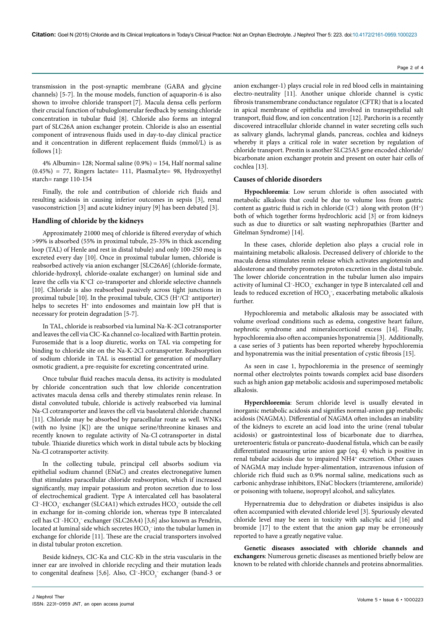transmission in the post-synaptic membrane (GABA and glycine channels) [5-7]. In the mouse models, function of aquaporin-6 is also shown to involve chloride transport [7]. Macula densa cells perform their crucial function of tubuloglomerular feedback by sensing chloride concentration in tubular fluid [8]. Chloride also forms an integral part of SLC26A anion exchanger protein. Chloride is also an essential component of intravenous fluids used in day-to-day clinical practice and it concentration in different replacement fluids (mmol/L) is as follows [1]:

4% Albumin= 128; Normal saline (0.9%) = 154, Half normal saline (0.45%) = 77, Ringers lactate= 111, PlasmaLyte= 98, Hydroxyethyl starch= range 110-154

Finally, the role and contribution of chloride rich fluids and resulting acidosis in causing inferior outcomes in sepsis [3], renal vasoconstriction [3] and acute kidney injury [9] has been debated [3].

#### **Handling of chloride by the kidneys**

Approximately 21000 meq of chloride is filtered everyday of which >99% is absorbed (55% in proximal tubule, 25-35% in thick ascending loop (TAL) of Henle and rest in distal tubule) and only 100-250 meq is excreted every day [10]. Once in proximal tubular lumen, chloride is reabsorbed actively via anion exchanger [SLC26A6] (chloride-formate, chloride-hydroxyl, chloride-oxalate exchanger) on luminal side and leave the cells via K<sup>+</sup>Cl<sup>-</sup> co-transporter and chloride selective channels [10]. Chloride is also reabsorbed passively across tight junctions in proximal tubule [10]. In the proximal tubule, ClC5 (H+/Cl– antiporter) helps to secretes H<sup>+</sup> into endosomes and maintain low pH that is necessary for protein degradation [5-7].

In TAL, chloride is reabsorbed via luminal Na-K-2Cl cotransporter and leaves the cell via ClC-Ka channel co-localized with Barttin protein. Furosemide that is a loop diuretic, works on TAL via competing for binding to chloride site on the Na-K-2Cl cotransporter. Reabsorption of sodium chloride in TAL is essential for generation of medullary osmotic gradient, a pre-requisite for excreting concentrated urine.

Once tubular fluid reaches macula densa, its activity is modulated by chloride concentration such that low chloride concentration activates macula densa cells and thereby stimulates renin release. In distal convoluted tubule, chloride is actively reabsorbed via luminal Na-Cl cotransporter and leaves the cell via basolateral chloride channel [11]. Chloride may be absorbed by paracellular route as well. WNKs (with no lysine [K]) are the unique serine/threonine kinases and recently known to regulate activity of Na-Cl cotransporter in distal tubule. Thiazide diuretics which work in distal tubule acts by blocking Na-Cl cotransporter activity.

In the collecting tubule, principal cell absorbs sodium via epithelial sodium channel (ENaC) and creates electronegative lumen that stimulates paracellular chloride reabsorption, which if increased significantly, may impair potassium and proton secretion due to loss of electrochemical gradient. Type A intercalated cell has basolateral Cl<sup>-</sup>-HCO<sub>3</sub><sup>-</sup> exchanger (SLC4A1) which extrudes HCO<sub>3</sub><sup>-</sup> outside the cell in exchange for in-coming chloride ion, whereas type B intercalated cell has Cl<sup>-</sup>-HCO<sub>3</sub><sup>-</sup> exchanger (SLC26A4) [3,6] also known as Pendrin, located at luminal side which secretes  $\mathrm{HCO}_{3}^{-1}$  into the tubular lumen in exchange for chloride [11]. These are the crucial transporters involved in distal tubular proton excretion.

Beside kidneys, ClC-Ka and CLC-Kb in the stria vascularis in the inner ear are involved in chloride recycling and their mutation leads to congenital deafness [5,6]. Also,  $Cl$ - $HCO<sub>3</sub>^-$  exchanger (band-3 or

anion exchanger-1) plays crucial role in red blood cells in maintaining electro-neutrality [11]. Another unique chloride channel is cystic fibrosis transmembrane conductance regulator (CFTR) that is a located in [apical membrane of](https://en.wikipedia.org/wiki/Membrane_protein) epithelia and involved in transepithelial salt transport, fluid flow, and ion concentration [12]. Parchorin is a recently discovered intracellular chloride channel in water secreting cells such as salivary glands, lachrymal glands, pancreas, cochlea and kidneys whereby it plays a critical role in water secretion by regulation of chloride transport. Prestin is another SLC25A5 gene encoded chloride/ bicarbonate anion exchanger protein and present on outer hair cells of cochlea [13].

#### **Causes of chloride disorders**

**Hypochloremia**: Low serum chloride is often associated with metabolic alkalosis that could be due to volume loss from gastric content as gastric fluid is rich in chloride  $(Cl^-)$  along with proton  $(H^+)$ both of which together forms hydrochloric acid [3] or from kidneys such as due to diuretics or salt wasting nephropathies (Bartter and Gitelman Syndrome) [14].

In these cases, chloride depletion also plays a crucial role in maintaining metabolic alkalosis. Decreased delivery of chloride to the macula densa stimulates renin release which activates angiotensin and aldosterone and thereby promotes proton excretion in the distal tubule. The lower chloride concentration in the tubular lumen also impairs activity of luminal Cl<sup>-</sup>-HCO<sub>3</sub><sup>-</sup> exchanger in type B intercalated cell and leads to reduced excretion of  $\mathrm{HCO}_3^-$ , exacerbating metabolic alkalosis further.

Hypochloremia and metabolic alkalosis may be associated with volume overload conditions such as edema, congestive heart failure, nephrotic syndrome and mineralocorticoid excess [14]. Finally, hypochloremia also often accompanies hyponatremia [3]. Additionally, a case series of 3 patients has been reported whereby hypochloremia and hyponatremia was the initial presentation of cystic fibrosis [15].

As seen in case 1, hypochloremia in the presence of seemingly normal other electrolytes points towards complex acid base disorders such as high anion gap metabolic acidosis and superimposed metabolic alkalosis.

**Hyperchloremia**: Serum chloride level is usually elevated in inorganic metabolic acidosis and signifies normal-anion gap metabolic acidosis (NAGMA). Differential of NAGMA often includes an inability of the kidneys to excrete an acid load into the urine (renal tubular acidosis) or gastrointestinal loss of bicarbonate due to diarrhea, ureteroenteric fistula or pancreato-duodenal fistula, which can be easily differentiated measuring urine anion gap (eq. 4) which is positive in renal tubular acidosis due to impaired NH4+ excretion. Other causes of NAGMA may include hyper-alimentation, intravenous infusion of chloride rich fluid such as 0.9% normal saline, medications such as carbonic anhydrase inhibitors, ENaC blockers (triamterene, amiloride) or poisoning with toluene, isopropyl alcohol, and salicylates.

Hypernatremia due to dehydration or diabetes insipidus is also often accompanied with elevated chloride level [3]. Spuriously elevated chloride level may be seen in toxicity with salicylic acid [16] and bromide [17] to the extent that the anion gap may be erroneously reported to have a greatly negative value.

**Genetic diseases associated with chloride channels and exchangers**: Numerous genetic diseases as mentioned briefly below are known to be related with chloride channels and proteins abnormalities.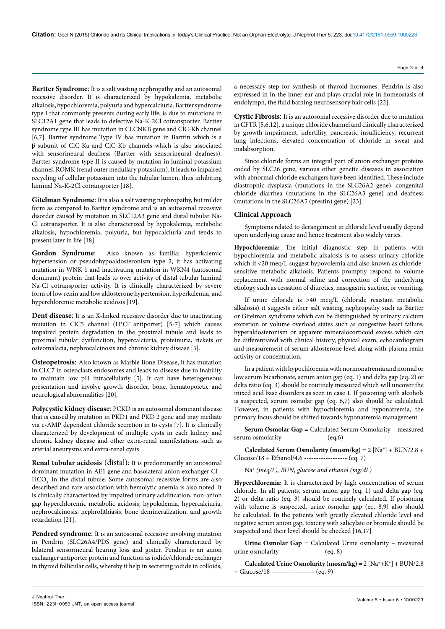**Citation:** Goel N (2015) Chloride and its Clinical Implications in Today's Clinical Practice: Not an Orphan Electrolyte. J Nephrol Ther 5: 223. doi:10.4172/2161-0959.1000223

**Bartter Syndrome**: It is a salt wasting nephropathy and an autosomal recessive disorder. It is characterized by hypokalemia, metabolic alkalosis, hypochloremia, polyuria and hypercalciuria. Bartter syndrome type I that commonly presents during early life, is due to mutations in SLC12A1 gene that leads to defective Na-K-2Cl cotransporter. Bartter syndrome type III has mutation in CLCNKB gene and ClC-Kb channel [6,7]. Bartter syndrome Type IV has mutation in Barttin which is a β-subunit of ClC-Ka and ClC-Kb channels which is also associated with sensorineural deafness (Bartter with sensorineural deafness). Bartter syndrome type II is caused by mutation in luminal potassium channel, ROMK (renal outer medullary potassium). It leads to impaired recycling of cellular potassium into the tubular lumen, thus inhibiting luminal Na-K-2Cl cotransporter [18].

**Gitelman Syndrome**: It is also a salt wasting nephropathy, but milder form as compared to Bartter syndrome and is an autosomal recessive disorder caused by mutation in SLC12A3 gene and distal tubular Na-Cl cotransporter. It is also characterized by hypokalemia, metabolic alkalosis, hypochloremia, polyuria, but hypocalciuria and tends to present later in life [18].

**Gordon Syndrome**: Also known as familial hyperkalemic hypertension or pseudohypoaldosteronism type 2, it has activating mutation in WNK 1 and inactivating mutation in WKN4 (autosomal dominant) protein that leads to over activity of distal tubular luminal Na-Cl cotransporter activity. It is clinically characterized by severe form of low renin and low aldosterone hypertension, hyperkalemia, and hyperchloremic metabolic acidosis [19].

**Dent disease**: It is an X-linked recessive disorder due to inactivating mutation in ClC5 channel (H+Cl– antiporter) [5-7] which causes impaired protein degradation in the proximal tubule and leads to proximal tubular dysfunction, hypercalciuria, proteinuria, rickets or osteomalacia, nephrocalcinosis and chronic kidney disease [5].

**Osteopetrosis**: Also known as Marble Bone Disease, it has mutation in CLC7 in osteoclasts endosomes and leads to disease due to inability to maintain low pH intracellularly [5]. It can have heterogeneous presentation and involve growth disorder, bone, hematopoietic and neurological abnormalities [20].

**Polycystic kidney disease**: PCKD is an autosomal dominant disease that is caused by mutation in PKD1 and PKD 2 gene and may mediate via c-AMP dependent chloride secretion in to cysts [7]. It is clinically characterized by development of multiple cysts in each kidney and chronic kidney disease and other extra-renal manifestations such as arterial aneurysms and extra-renal cysts.

**Renal tubular acidosis** (distal): It is predominantly an autosomal dominant mutation in AE1 gene and basolateral anion exchanger Cl– -  $HCO_3^-$  in the distal tubule. Some autosomal recessive forms are also described and rare association with hemolytic anemia is also noted. It is clinically characterized by impaired urinary acidification, non-anion gap hyperchloremic metabolic acidosis, hypokalemia, hypercalciuria, nephrocalcinosis, nephrolithiasis, bone demineralization, and growth retardation [21].

Pendred syndrome: It is an autosomal recessive involving mutation in Pendrin (SLC26A4/PDS gene) and clinically characterized by bilateral sensorineural hearing loss and goiter. Pendrin is an anion exchanger antiporter protein and function as iodide/chloride exchanger in thyroid follicular cells, whereby it help in secreting iodide in colloids,

a necessary step for synthesis of thyroid hormones. Pendrin is also expressed in in the inner ear and plays crucial role in homeostasis of endolymph, the fluid bathing neurosensory hair cells [22].

**Cystic Fibrosis**: It is an autosomal recessive disorder due to mutation in CFTR [5,6,12], a unique chloride channel and clinically characterized by growth impairment, infertility, pancreatic insufficiency, recurrent lung infections, elevated concentration of chloride in sweat and malabsorption.

Since chloride forms an integral part of anion exchanger proteins coded by SLC26 gene, various other genetic diseases in association with abnormal chloride exchangers have been identified. These include diastrophic dysplasia (mutations in the SLC26A2 gene), congenital chloride diarrhea (mutations in the SLC26A3 gene) and deafness (mutations in the SLC26A5 (prestin) gene) [23].

## **Clinical Approach**

Symptoms related to derangement in chloride level usually depend upon underlying cause and hence treatment also widely varies.

**Hypochloremia:** The initial diagnostic step in patients with hypochloremia and metabolic alkalosis is to assess urinary chloride which if <20 meq/L suggest hypovolemia and also known as chloridesensitive metabolic alkalosis. Patients promptly respond to volume replacement with normal saline and correction of the underlying etiology such as cessation of diuretics, nasogastric suction, or vomiting.

If urine chloride is >40 meq/L (chloride resistant metabolic alkalosis) it suggests either salt wasting nephropathy such as Bartter or Gitelman syndrome which can be distinguished by urinary calcium excretion or volume overload states such as congestive heart failure, hyperaldosteronism or apparent mineralocorticoid excess which can be differentiated with clinical history, physical exam, echocardiogram and measurement of serum aldosterone level along with plasma renin activity or concentration.

In a patient with hypochloremia with normonatremia and normal or low serum bicarbonate, serum anion gap (eq. 1) and delta gap (eq. 2) or delta ratio (eq. 3) should be routinely measured which will uncover the mixed acid base disorders as seen in case 1. If poisoning with alcohols is suspected, serum osmolar gap (eq. 6,7) also should be calculated. However, in patients with hypochloremia and hyponatremia, the primary focus should be shifted towards hyponatremia management.

**Serum Osmolar Gap =** Calculated Serum Osmolarity – measured serum osmolarity ------------------ (eq.6)

**Calculated Serum Osmolarity (mosm/kg) =** 2 [Na+] + BUN/2.8 + Glucose/18 + Ethanol/4.6 ------------------ (eq. 7)

Na+ *(meq/L), BUN, glucose and ethanol (mg/dL)*

**Hyperchloremia:** It is characterized by high concentration of serum chloride. In all patients, serum anion gap (eq. 1) and delta gap (eq. 2) or delta ratio (eq. 3) should be routinely calculated. If poisoning with toluene is suspected, urine osmolar gap (eq. 8,9) also should be calculated. In the patients with greatly elevated chloride level and negative serum anion gap, toxicity with salicylate or bromide should be suspected and their level should be checked [16,17]

**Urine Osmolar Gap =** Calculated Urine osmolarity – measured urine osmolarity ------------------ (eq. 8)

**Calculated Urine Osmolarity (mosm/kg) =**  $2 [Na^+ + K^+] + BUN/2.8$ + Glucose/18 ------------------ (eq. 9)